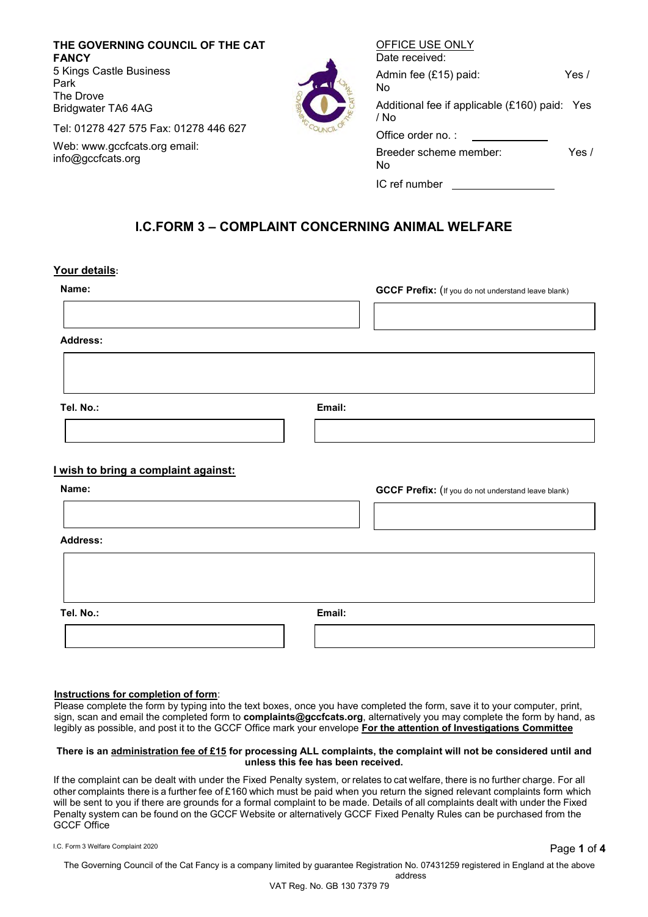**THE GOVERNING COUNCIL OF THE CAT FANCY** 5 Kings Castle Business Park The Drove Bridgwater TA6 4AG

Tel: 01278 427 575 Fax: 01278 446 627

Web: [www.gccfcats.org e](http://www.gccfcats.org/)mail: [info@gccfcats.org](mailto:info@gccfcats.org)

| Date received:                                        |         |
|-------------------------------------------------------|---------|
| Admin fee (£15) paid:<br>N٥                           | Yes $/$ |
| Additional fee if applicable (£160) paid: Yes<br>/ No |         |
| Office order no.:                                     |         |
| Breeder scheme member:<br>No                          | Yes /   |
| IC ref number                                         |         |

OFFICE USE ONLY

## **I.C.FORM 3 – COMPLAINT CONCERNING ANIMAL WELFARE**

#### **Your details:**

| Name:                                         |        | <b>GCCF Prefix:</b> (If you do not understand leave blank) |
|-----------------------------------------------|--------|------------------------------------------------------------|
| <b>Address:</b>                               |        |                                                            |
| Tel. No.:                                     | Email: |                                                            |
| I wish to bring a complaint against:<br>Name: |        | <b>GCCF Prefix:</b> (If you do not understand leave blank) |
| <b>Address:</b>                               |        |                                                            |
|                                               |        |                                                            |
| Tel. No.:                                     | Email: |                                                            |

#### **Instructions for completion of form**:

Please complete the form by typing into the text boxes, once you have completed the form, save it to your computer, print, sign, scan and email the completed form to **complaints@gccfcats.org**, alternatively you may complete the form by hand, as legibly as possible, and post it to the GCCF Office mark your envelope **For the attention of Investigations Committee**

#### **There is an administration fee of £15 for processing ALL complaints, the complaint will not be considered until and unless this fee has been received.**

If the complaint can be dealt with under the Fixed Penalty system, or relates to cat welfare, there is no further charge. For all other complaints there is a further fee of £160 which must be paid when you return the signed relevant complaints form which will be sent to you if there are grounds for a formal complaint to be made. Details of all complaints dealt with under the Fixed Penalty system can be found on the GCCF Website or alternatively GCCF Fixed Penalty Rules can be purchased from the GCCF Office

I.C. Form 3 Welfare Complaint <sup>2020</sup> Page **1** of **4**

The Governing Council of the Cat Fancy is a company limited by guarantee Registration No. 07431259 registered in England at the above address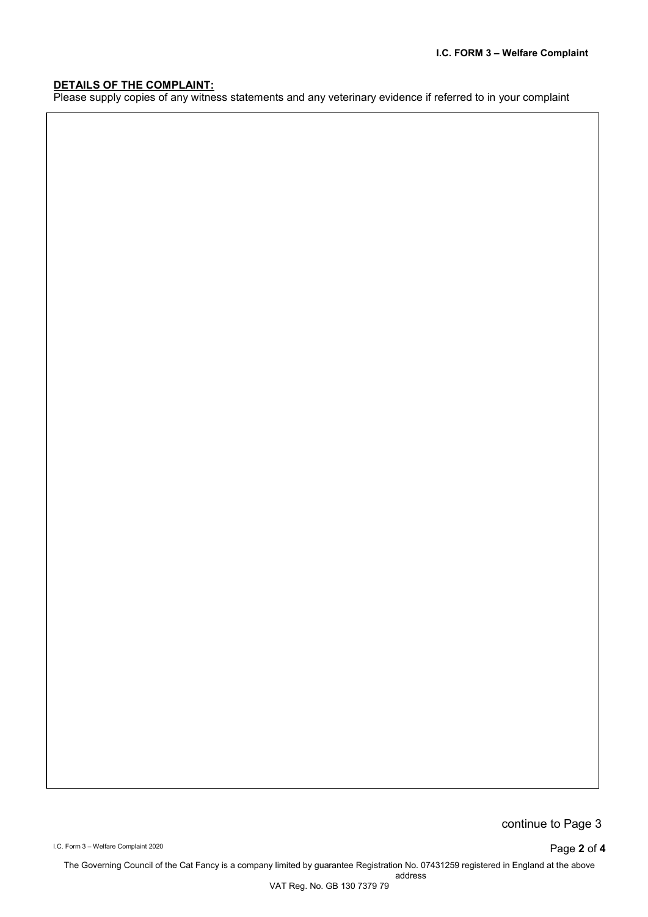## **DETAILS OF THE COMPLAINT:**

Please supply copies of any witness statements and any veterinary evidence if referred to in your complaint

continue to Page 3

I.C. Form 3 – Welfare Complaint <sup>2020</sup> Page **2** of **4**

The Governing Council of the Cat Fancy is a company limited by guarantee Registration No. 07431259 registered in England at the above address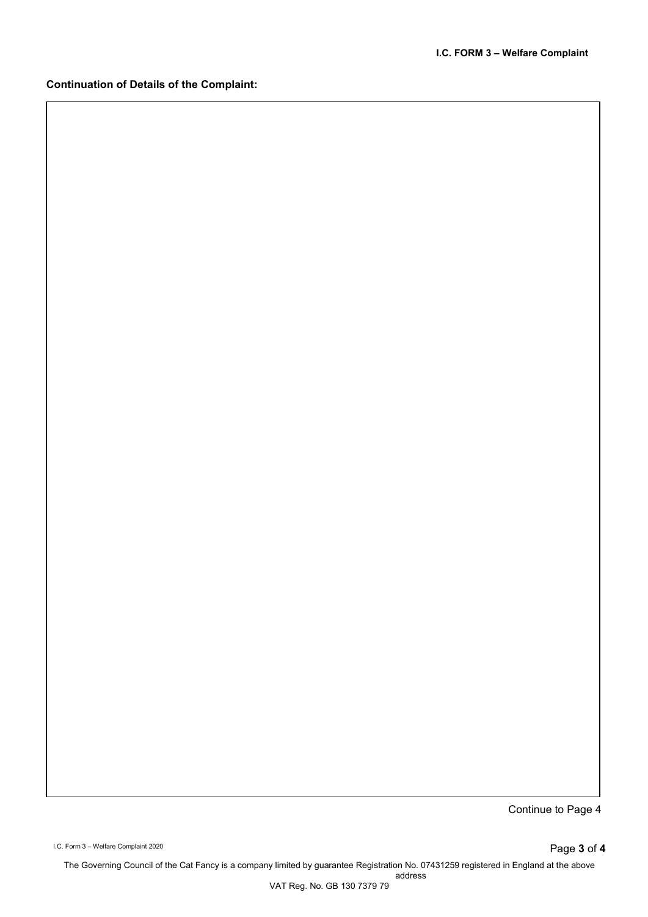## **Continuation of Details of the Complaint:**

Continue to Page 4

I.C. Form 3 – Welfare Complaint <sup>2020</sup> Page **3** of **4**

The Governing Council of the Cat Fancy is a company limited by guarantee Registration No. 07431259 registered in England at the above address